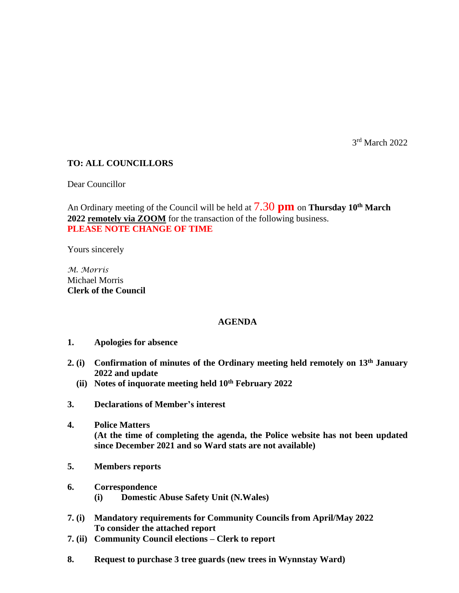3 rd March 2022

## **TO: ALL COUNCILLORS**

Dear Councillor

An Ordinary meeting of the Council will be held at 7.30 **pm** on **Thursday 10th March 2022 remotely via ZOOM** for the transaction of the following business. **PLEASE NOTE CHANGE OF TIME**

Yours sincerely

*M. Morris* Michael Morris **Clerk of the Council**

### **AGENDA**

- **1. Apologies for absence**
- **2. (i) Confirmation of minutes of the Ordinary meeting held remotely on 13th January 2022 and update**
	- **(ii) Notes of inquorate meeting held 10th February 2022**
- **3. Declarations of Member's interest**
- **4. Police Matters (At the time of completing the agenda, the Police website has not been updated since December 2021 and so Ward stats are not available)**
- **5. Members reports**
- **6. Correspondence (i) Domestic Abuse Safety Unit (N.Wales)**
- **7. (i) Mandatory requirements for Community Councils from April/May 2022 To consider the attached report**
- **7. (ii) Community Council elections – Clerk to report**
- **8. Request to purchase 3 tree guards (new trees in Wynnstay Ward)**